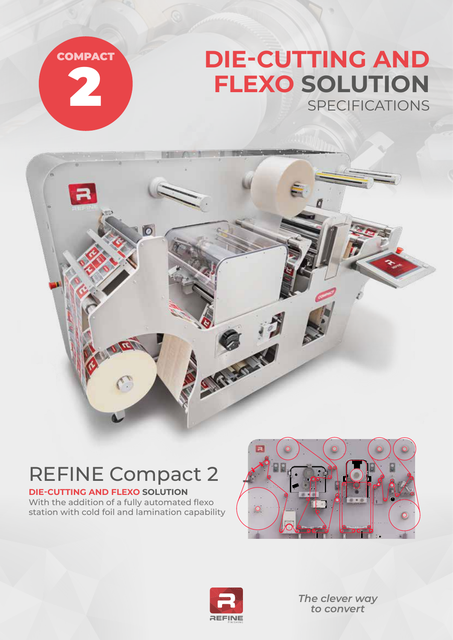

na

 $\overline{O}$ 

## **DIE-CUTTING AND FLEXO SOLUTION** SPECIFICATIONS

## REFINE Compact 2

 $\pi$ 

## **DIE-CUTTING AND FLEXO SOLUTION** With the addition of a fully automated flexo

station with cold foil and lamination capability





S. R. Louis

*The clever way to convert*